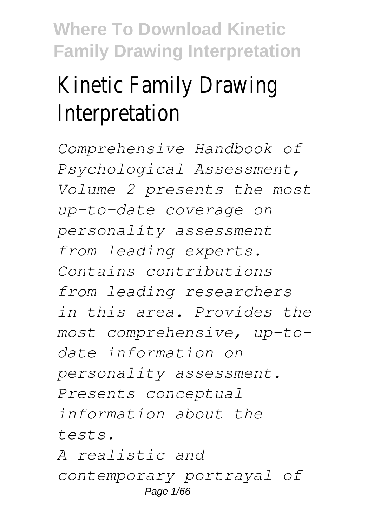# Kinetic Family Drawing Interpretation

*Comprehensive Handbook of Psychological Assessment, Volume 2 presents the most up-to-date coverage on personality assessment from leading experts. Contains contributions from leading researchers in this area. Provides the most comprehensive, up-todate information on personality assessment. Presents conceptual information about the tests. A realistic and contemporary portrayal of*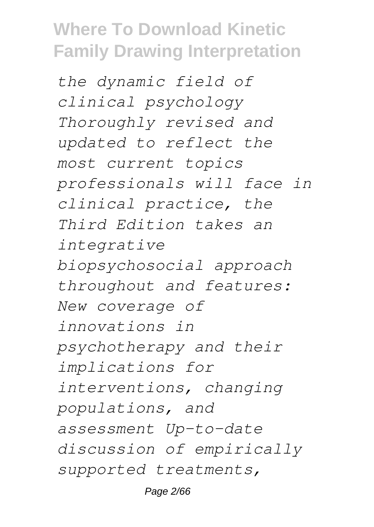*the dynamic field of clinical psychology Thoroughly revised and updated to reflect the most current topics professionals will face in clinical practice, the Third Edition takes an integrative biopsychosocial approach throughout and features: New coverage of innovations in psychotherapy and their implications for interventions, changing populations, and assessment Up-to-date discussion of empirically supported treatments,*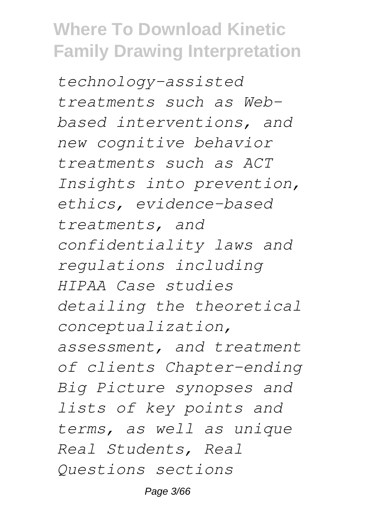*technology-assisted treatments such as Webbased interventions, and new cognitive behavior treatments such as ACT Insights into prevention, ethics, evidence-based treatments, and confidentiality laws and regulations including HIPAA Case studies detailing the theoretical conceptualization, assessment, and treatment of clients Chapter-ending Big Picture synopses and lists of key points and terms, as well as unique Real Students, Real Questions sections*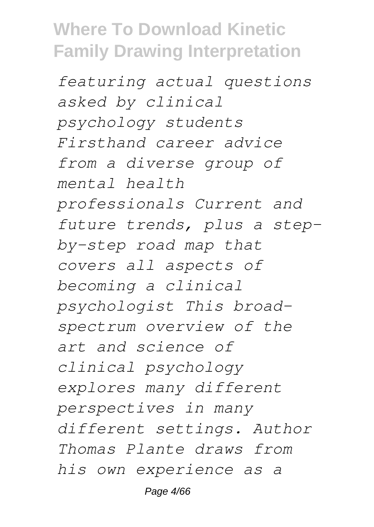*featuring actual questions asked by clinical psychology students Firsthand career advice from a diverse group of mental health professionals Current and future trends, plus a stepby-step road map that covers all aspects of becoming a clinical psychologist This broadspectrum overview of the art and science of clinical psychology explores many different perspectives in many different settings. Author Thomas Plante draws from his own experience as a*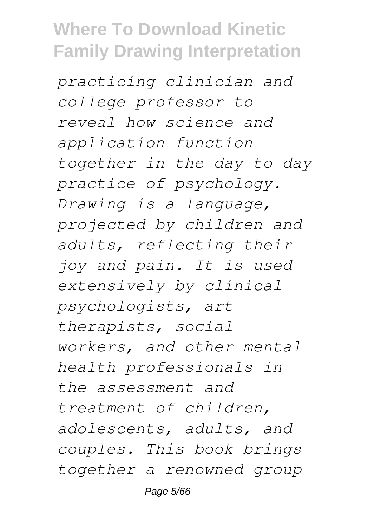*practicing clinician and college professor to reveal how science and application function together in the day-to-day practice of psychology. Drawing is a language, projected by children and adults, reflecting their joy and pain. It is used extensively by clinical psychologists, art therapists, social workers, and other mental health professionals in the assessment and treatment of children, adolescents, adults, and couples. This book brings together a renowned group*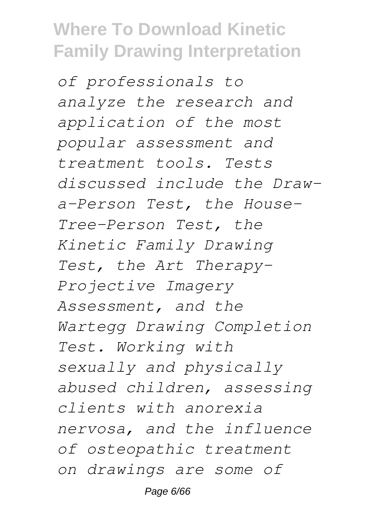*of professionals to analyze the research and application of the most popular assessment and treatment tools. Tests discussed include the Drawa-Person Test, the House-Tree-Person Test, the Kinetic Family Drawing Test, the Art Therapy-Projective Imagery Assessment, and the Wartegg Drawing Completion Test. Working with sexually and physically abused children, assessing clients with anorexia nervosa, and the influence of osteopathic treatment on drawings are some of*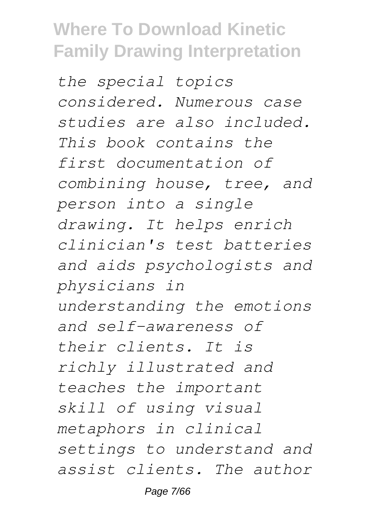*the special topics considered. Numerous case studies are also included. This book contains the first documentation of combining house, tree, and person into a single drawing. It helps enrich clinician's test batteries and aids psychologists and physicians in understanding the emotions and self-awareness of their clients. It is richly illustrated and teaches the important skill of using visual metaphors in clinical settings to understand and assist clients. The author*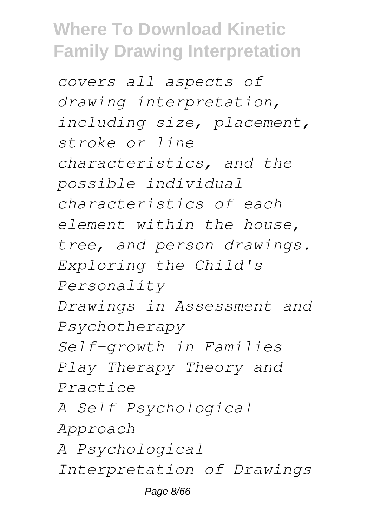*covers all aspects of drawing interpretation, including size, placement, stroke or line characteristics, and the possible individual characteristics of each element within the house, tree, and person drawings. Exploring the Child's Personality Drawings in Assessment and Psychotherapy Self-growth in Families Play Therapy Theory and Practice A Self-Psychological Approach A Psychological Interpretation of Drawings*

Page 8/66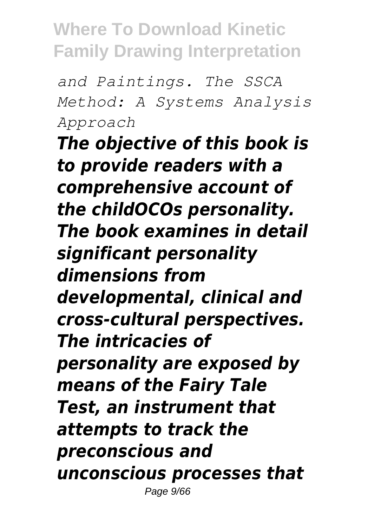*and Paintings. The SSCA Method: A Systems Analysis Approach*

*The objective of this book is to provide readers with a comprehensive account of the childOCOs personality. The book examines in detail significant personality dimensions from developmental, clinical and cross-cultural perspectives. The intricacies of personality are exposed by means of the Fairy Tale Test, an instrument that attempts to track the preconscious and unconscious processes that* Page 9/66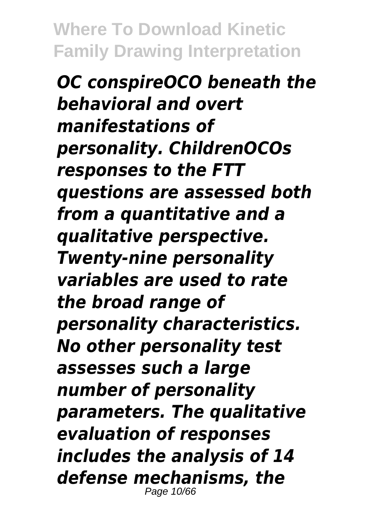*OC conspireOCO beneath the behavioral and overt manifestations of personality. ChildrenOCOs responses to the FTT questions are assessed both from a quantitative and a qualitative perspective. Twenty-nine personality variables are used to rate the broad range of personality characteristics. No other personality test assesses such a large number of personality parameters. The qualitative evaluation of responses includes the analysis of 14 defense mechanisms, the* Page 10/66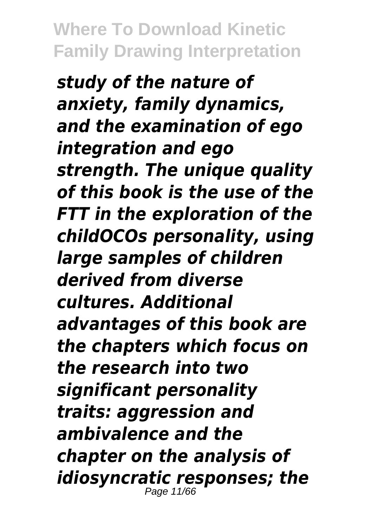*study of the nature of anxiety, family dynamics, and the examination of ego integration and ego strength. The unique quality of this book is the use of the FTT in the exploration of the childOCOs personality, using large samples of children derived from diverse cultures. Additional advantages of this book are the chapters which focus on the research into two significant personality traits: aggression and ambivalence and the chapter on the analysis of idiosyncratic responses; the* Page 11/66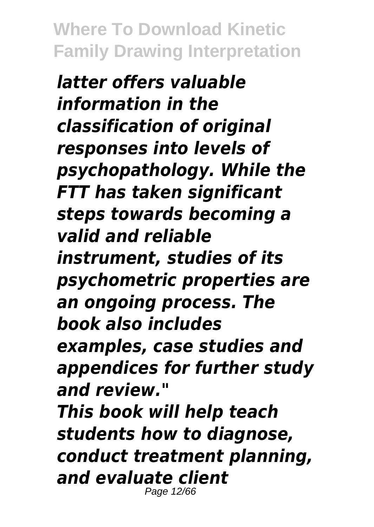*latter offers valuable information in the classification of original responses into levels of psychopathology. While the FTT has taken significant steps towards becoming a valid and reliable instrument, studies of its psychometric properties are an ongoing process. The book also includes examples, case studies and appendices for further study and review." This book will help teach students how to diagnose, conduct treatment planning, and evaluate client* Page 12/66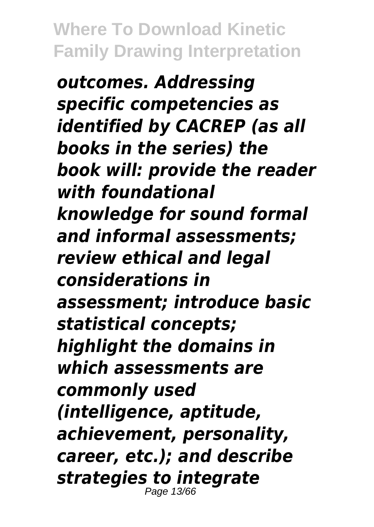*outcomes. Addressing specific competencies as identified by CACREP (as all books in the series) the book will: provide the reader with foundational knowledge for sound formal and informal assessments; review ethical and legal considerations in assessment; introduce basic statistical concepts; highlight the domains in which assessments are commonly used (intelligence, aptitude, achievement, personality, career, etc.); and describe strategies to integrate* Page 13/66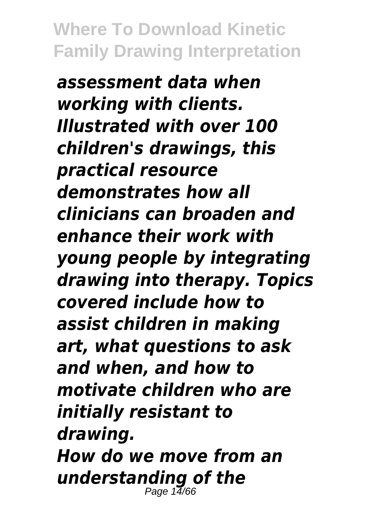*assessment data when working with clients. Illustrated with over 100 children's drawings, this practical resource demonstrates how all clinicians can broaden and enhance their work with young people by integrating drawing into therapy. Topics covered include how to assist children in making art, what questions to ask and when, and how to motivate children who are initially resistant to drawing. How do we move from an understanding of the* Page  $1\frac{7}{16}$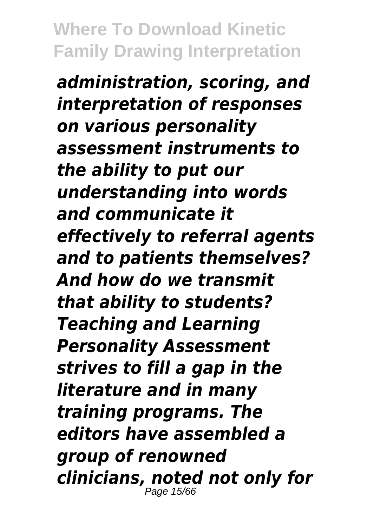*administration, scoring, and interpretation of responses on various personality assessment instruments to the ability to put our understanding into words and communicate it effectively to referral agents and to patients themselves? And how do we transmit that ability to students? Teaching and Learning Personality Assessment strives to fill a gap in the literature and in many training programs. The editors have assembled a group of renowned clinicians, noted not only for* Page 15/6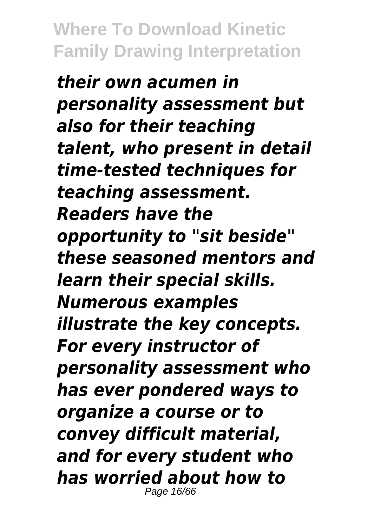*their own acumen in personality assessment but also for their teaching talent, who present in detail time-tested techniques for teaching assessment. Readers have the opportunity to "sit beside" these seasoned mentors and learn their special skills. Numerous examples illustrate the key concepts. For every instructor of personality assessment who has ever pondered ways to organize a course or to convey difficult material, and for every student who has worried about how to* Page 16/66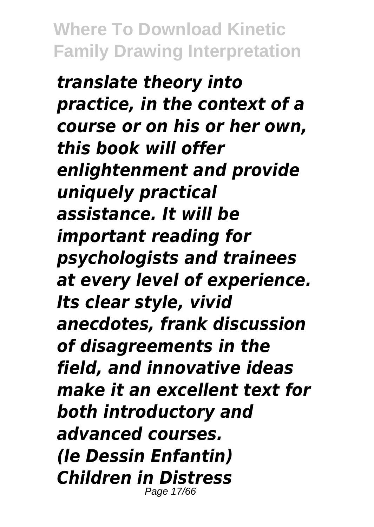*translate theory into practice, in the context of a course or on his or her own, this book will offer enlightenment and provide uniquely practical assistance. It will be important reading for psychologists and trainees at every level of experience. Its clear style, vivid anecdotes, frank discussion of disagreements in the field, and innovative ideas make it an excellent text for both introductory and advanced courses. (le Dessin Enfantin) Children in Distress* Page 17/66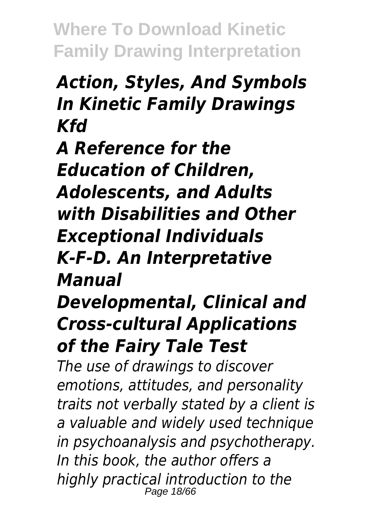#### *Action, Styles, And Symbols In Kinetic Family Drawings Kfd*

*A Reference for the Education of Children, Adolescents, and Adults with Disabilities and Other Exceptional Individuals K-F-D. An Interpretative Manual*

*Developmental, Clinical and Cross-cultural Applications of the Fairy Tale Test*

*The use of drawings to discover emotions, attitudes, and personality traits not verbally stated by a client is a valuable and widely used technique in psychoanalysis and psychotherapy. In this book, the author offers a highly practical introduction to the* Page 18/66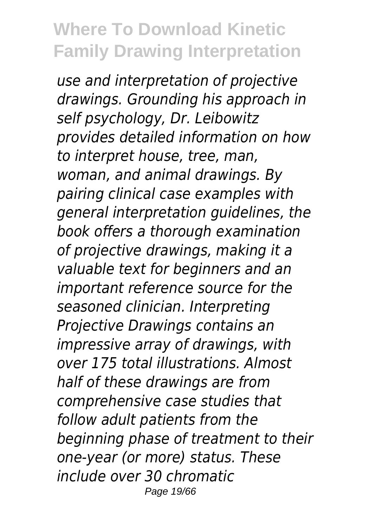*use and interpretation of projective drawings. Grounding his approach in self psychology, Dr. Leibowitz provides detailed information on how to interpret house, tree, man, woman, and animal drawings. By pairing clinical case examples with general interpretation guidelines, the book offers a thorough examination of projective drawings, making it a valuable text for beginners and an important reference source for the seasoned clinician. Interpreting Projective Drawings contains an impressive array of drawings, with over 175 total illustrations. Almost half of these drawings are from comprehensive case studies that follow adult patients from the beginning phase of treatment to their one-year (or more) status. These include over 30 chromatic* Page 19/66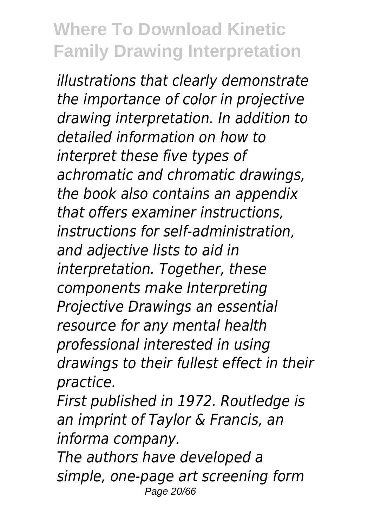*illustrations that clearly demonstrate the importance of color in projective drawing interpretation. In addition to detailed information on how to interpret these five types of achromatic and chromatic drawings, the book also contains an appendix that offers examiner instructions, instructions for self-administration, and adjective lists to aid in interpretation. Together, these components make Interpreting Projective Drawings an essential resource for any mental health professional interested in using drawings to their fullest effect in their practice.*

*First published in 1972. Routledge is an imprint of Taylor & Francis, an informa company.*

*The authors have developed a simple, one-page art screening form* Page 20/66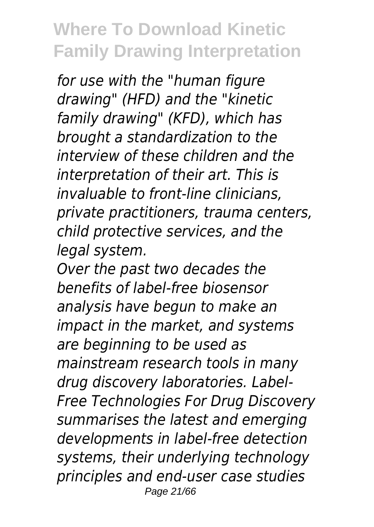*for use with the "human figure drawing" (HFD) and the "kinetic family drawing" (KFD), which has brought a standardization to the interview of these children and the interpretation of their art. This is invaluable to front-line clinicians, private practitioners, trauma centers, child protective services, and the legal system.*

*Over the past two decades the benefits of label-free biosensor analysis have begun to make an impact in the market, and systems are beginning to be used as mainstream research tools in many drug discovery laboratories. Label-Free Technologies For Drug Discovery summarises the latest and emerging developments in label-free detection systems, their underlying technology principles and end-user case studies* Page 21/66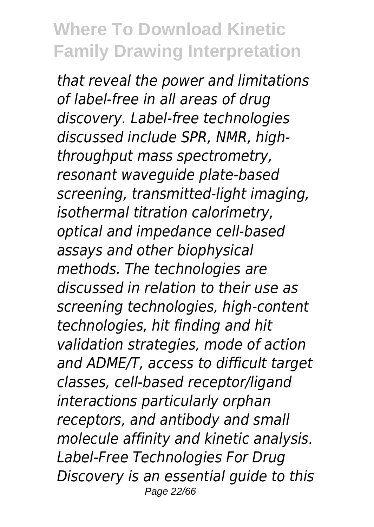*that reveal the power and limitations of label-free in all areas of drug discovery. Label-free technologies discussed include SPR, NMR, highthroughput mass spectrometry, resonant waveguide plate-based screening, transmitted-light imaging, isothermal titration calorimetry, optical and impedance cell-based assays and other biophysical methods. The technologies are discussed in relation to their use as screening technologies, high-content technologies, hit finding and hit validation strategies, mode of action and ADME/T, access to difficult target classes, cell-based receptor/ligand interactions particularly orphan receptors, and antibody and small molecule affinity and kinetic analysis. Label-Free Technologies For Drug Discovery is an essential guide to this* Page 22/66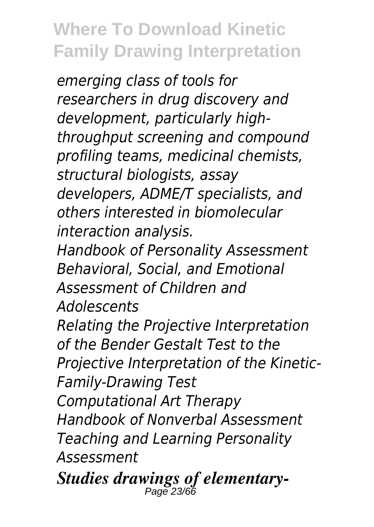*emerging class of tools for researchers in drug discovery and development, particularly highthroughput screening and compound profiling teams, medicinal chemists, structural biologists, assay developers, ADME/T specialists, and others interested in biomolecular interaction analysis.*

*Handbook of Personality Assessment Behavioral, Social, and Emotional Assessment of Children and Adolescents*

*Relating the Projective Interpretation of the Bender Gestalt Test to the Projective Interpretation of the Kinetic-Family-Drawing Test*

*Computational Art Therapy Handbook of Nonverbal Assessment Teaching and Learning Personality Assessment*

*Studies drawings of elementary-*Page 23/66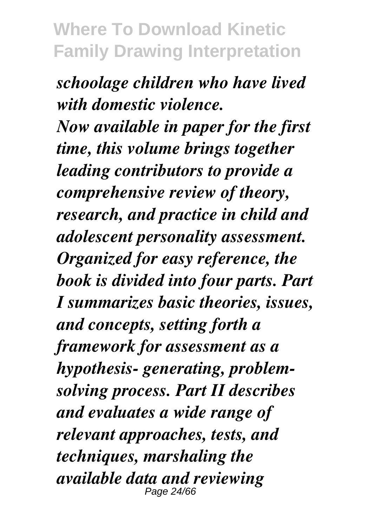*schoolage children who have lived with domestic violence. Now available in paper for the first time, this volume brings together leading contributors to provide a comprehensive review of theory, research, and practice in child and adolescent personality assessment. Organized for easy reference, the book is divided into four parts. Part I summarizes basic theories, issues, and concepts, setting forth a framework for assessment as a hypothesis- generating, problemsolving process. Part II describes and evaluates a wide range of relevant approaches, tests, and techniques, marshaling the available data and reviewing* Page 24/6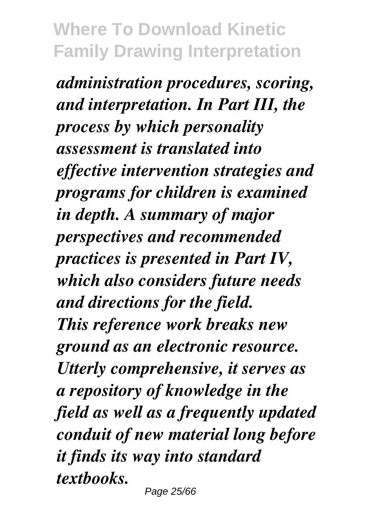*administration procedures, scoring, and interpretation. In Part III, the process by which personality assessment is translated into effective intervention strategies and programs for children is examined in depth. A summary of major perspectives and recommended practices is presented in Part IV, which also considers future needs and directions for the field. This reference work breaks new ground as an electronic resource. Utterly comprehensive, it serves as a repository of knowledge in the field as well as a frequently updated conduit of new material long before it finds its way into standard textbooks.*

Page 25/66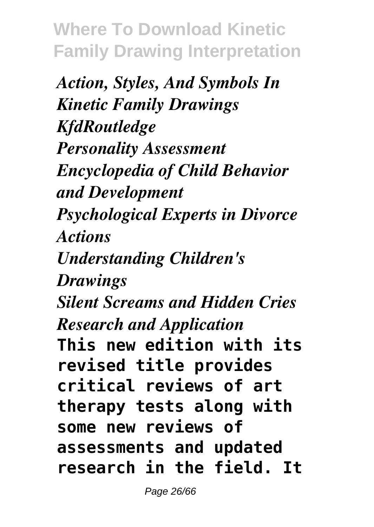*Action, Styles, And Symbols In Kinetic Family Drawings KfdRoutledge Personality Assessment Encyclopedia of Child Behavior and Development Psychological Experts in Divorce Actions Understanding Children's Drawings Silent Screams and Hidden Cries Research and Application* **This new edition with its revised title provides critical reviews of art therapy tests along with some new reviews of assessments and updated research in the field. It**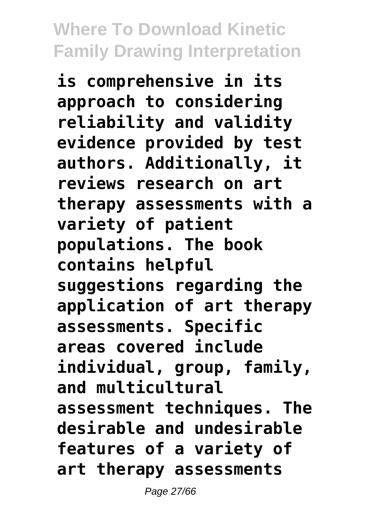**is comprehensive in its approach to considering reliability and validity evidence provided by test authors. Additionally, it reviews research on art therapy assessments with a variety of patient populations. The book contains helpful suggestions regarding the application of art therapy assessments. Specific areas covered include individual, group, family, and multicultural assessment techniques. The desirable and undesirable features of a variety of art therapy assessments**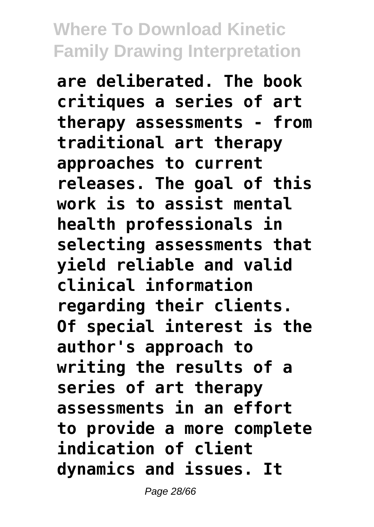**are deliberated. The book critiques a series of art therapy assessments - from traditional art therapy approaches to current releases. The goal of this work is to assist mental health professionals in selecting assessments that yield reliable and valid clinical information regarding their clients. Of special interest is the author's approach to writing the results of a series of art therapy assessments in an effort to provide a more complete indication of client dynamics and issues. It**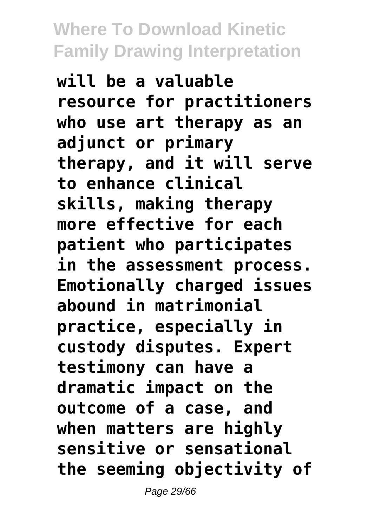**will be a valuable resource for practitioners who use art therapy as an adjunct or primary therapy, and it will serve to enhance clinical skills, making therapy more effective for each patient who participates in the assessment process. Emotionally charged issues abound in matrimonial practice, especially in custody disputes. Expert testimony can have a dramatic impact on the outcome of a case, and when matters are highly sensitive or sensational the seeming objectivity of**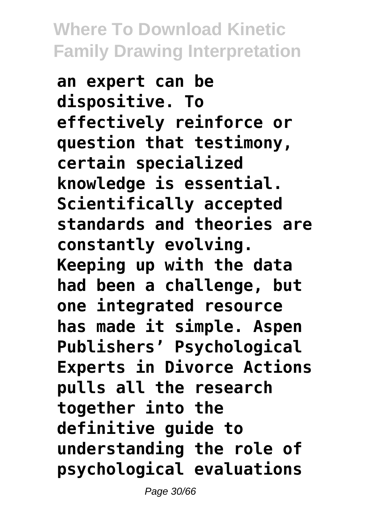**an expert can be dispositive. To effectively reinforce or question that testimony, certain specialized knowledge is essential. Scientifically accepted standards and theories are constantly evolving. Keeping up with the data had been a challenge, but one integrated resource has made it simple. Aspen Publishers' Psychological Experts in Divorce Actions pulls all the research together into the definitive guide to understanding the role of psychological evaluations**

Page 30/66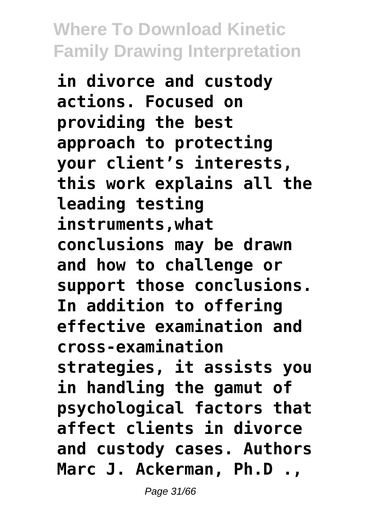**in divorce and custody actions. Focused on providing the best approach to protecting your client's interests, this work explains all the leading testing instruments,what conclusions may be drawn and how to challenge or support those conclusions. In addition to offering effective examination and cross-examination strategies, it assists you in handling the gamut of psychological factors that affect clients in divorce and custody cases. Authors Marc J. Ackerman, Ph.D .,**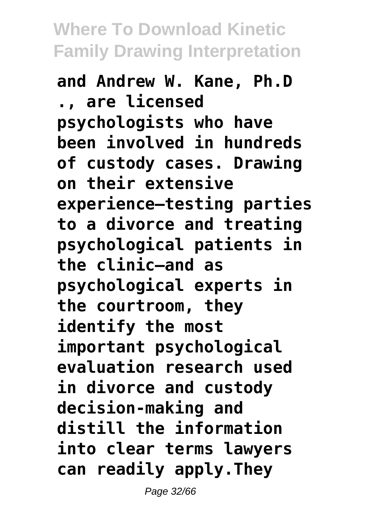**and Andrew W. Kane, Ph.D ., are licensed psychologists who have been involved in hundreds of custody cases. Drawing on their extensive experience—testing parties to a divorce and treating psychological patients in the clinic—and as psychological experts in the courtroom, they identify the most important psychological evaluation research used in divorce and custody decision-making and distill the information into clear terms lawyers can readily apply.They**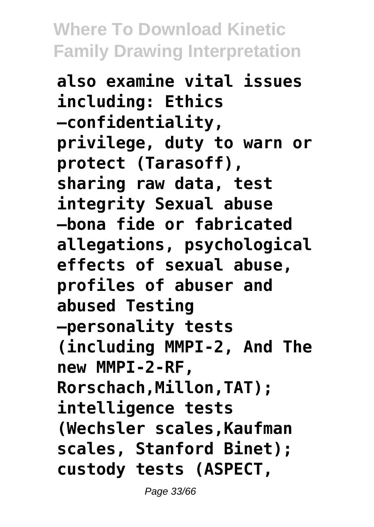**also examine vital issues including: Ethics —confidentiality, privilege, duty to warn or protect (Tarasoff), sharing raw data, test integrity Sexual abuse —bona fide or fabricated allegations, psychological effects of sexual abuse, profiles of abuser and abused Testing —personality tests (including MMPI-2, And The new MMPI-2-RF, Rorschach,Millon,TAT); intelligence tests (Wechsler scales,Kaufman scales, Stanford Binet); custody tests (ASPECT,**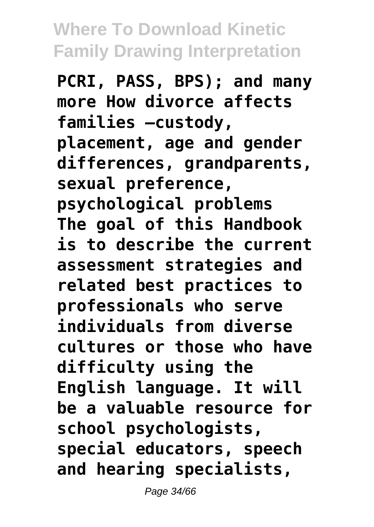**PCRI, PASS, BPS); and many more How divorce affects families —custody, placement, age and gender differences, grandparents, sexual preference, psychological problems The goal of this Handbook is to describe the current assessment strategies and related best practices to professionals who serve individuals from diverse cultures or those who have difficulty using the English language. It will be a valuable resource for school psychologists, special educators, speech and hearing specialists,**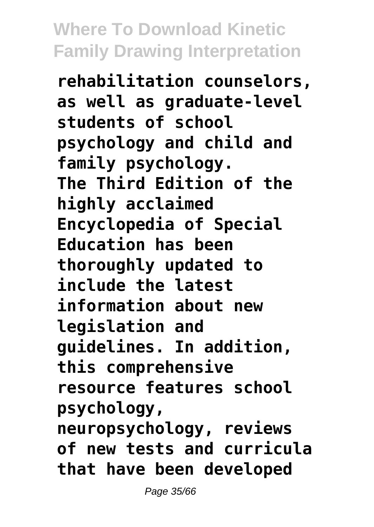**rehabilitation counselors, as well as graduate-level students of school psychology and child and family psychology. The Third Edition of the highly acclaimed Encyclopedia of Special Education has been thoroughly updated to include the latest information about new legislation and guidelines. In addition, this comprehensive resource features school psychology, neuropsychology, reviews of new tests and curricula that have been developed**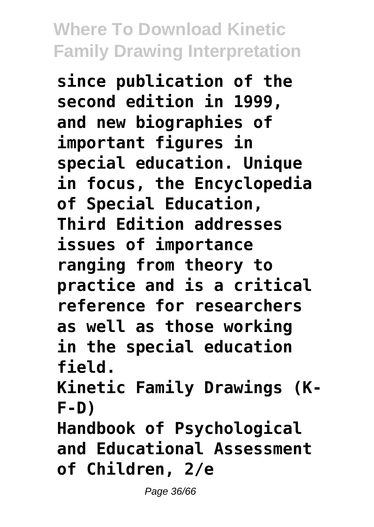**since publication of the second edition in 1999, and new biographies of important figures in special education. Unique in focus, the Encyclopedia of Special Education, Third Edition addresses issues of importance ranging from theory to practice and is a critical reference for researchers as well as those working in the special education field. Kinetic Family Drawings (K-**

**F-D)**

**Handbook of Psychological and Educational Assessment of Children, 2/e**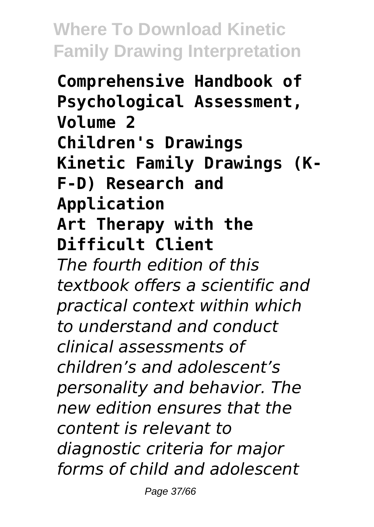**Comprehensive Handbook of Psychological Assessment, Volume 2 Children's Drawings Kinetic Family Drawings (K-F-D) Research and Application Art Therapy with the Difficult Client** *The fourth edition of this textbook offers a scientific and practical context within which to understand and conduct clinical assessments of children's and adolescent's personality and behavior. The new edition ensures that the content is relevant to diagnostic criteria for major forms of child and adolescent*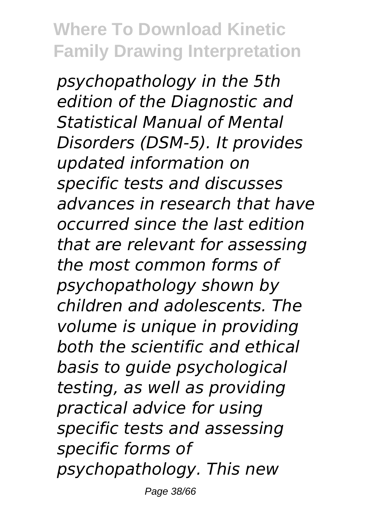*psychopathology in the 5th edition of the Diagnostic and Statistical Manual of Mental Disorders (DSM-5). It provides updated information on specific tests and discusses advances in research that have occurred since the last edition that are relevant for assessing the most common forms of psychopathology shown by children and adolescents. The volume is unique in providing both the scientific and ethical basis to guide psychological testing, as well as providing practical advice for using specific tests and assessing specific forms of psychopathology. This new* Page 38/66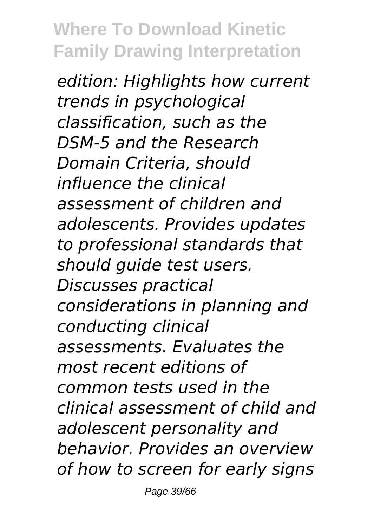*edition: Highlights how current trends in psychological classification, such as the DSM-5 and the Research Domain Criteria, should influence the clinical assessment of children and adolescents. Provides updates to professional standards that should guide test users. Discusses practical considerations in planning and conducting clinical assessments. Evaluates the most recent editions of common tests used in the clinical assessment of child and adolescent personality and behavior. Provides an overview of how to screen for early signs*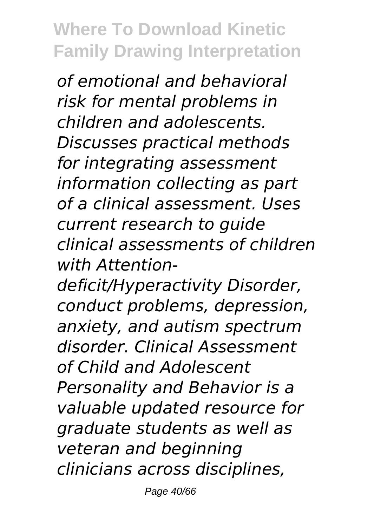*of emotional and behavioral risk for mental problems in children and adolescents. Discusses practical methods for integrating assessment information collecting as part of a clinical assessment. Uses current research to guide clinical assessments of children with Attention-*

*deficit/Hyperactivity Disorder, conduct problems, depression, anxiety, and autism spectrum disorder. Clinical Assessment of Child and Adolescent Personality and Behavior is a valuable updated resource for graduate students as well as veteran and beginning clinicians across disciplines,*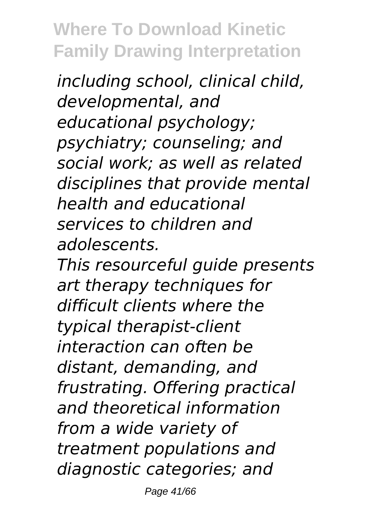*including school, clinical child, developmental, and educational psychology; psychiatry; counseling; and social work; as well as related disciplines that provide mental health and educational services to children and adolescents.*

*This resourceful guide presents art therapy techniques for difficult clients where the typical therapist-client interaction can often be distant, demanding, and frustrating. Offering practical and theoretical information from a wide variety of treatment populations and diagnostic categories; and*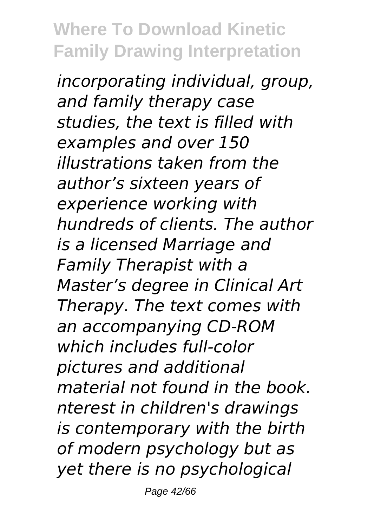*incorporating individual, group, and family therapy case studies, the text is filled with examples and over 150 illustrations taken from the author's sixteen years of experience working with hundreds of clients. The author is a licensed Marriage and Family Therapist with a Master's degree in Clinical Art Therapy. The text comes with an accompanying CD-ROM which includes full-color pictures and additional material not found in the book. nterest in children's drawings is contemporary with the birth of modern psychology but as yet there is no psychological*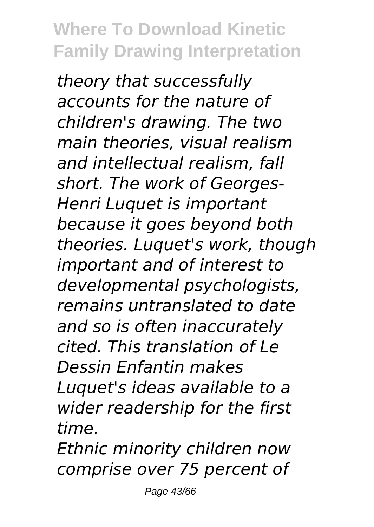*theory that successfully accounts for the nature of children's drawing. The two main theories, visual realism and intellectual realism, fall short. The work of Georges-Henri Luquet is important because it goes beyond both theories. Luquet's work, though important and of interest to developmental psychologists, remains untranslated to date and so is often inaccurately cited. This translation of Le Dessin Enfantin makes Luquet's ideas available to a wider readership for the first time.*

*Ethnic minority children now comprise over 75 percent of*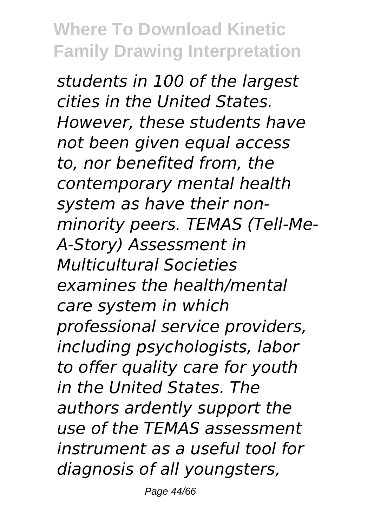*students in 100 of the largest cities in the United States. However, these students have not been given equal access to, nor benefited from, the contemporary mental health system as have their nonminority peers. TEMAS (Tell-Me-A-Story) Assessment in Multicultural Societies examines the health/mental care system in which professional service providers, including psychologists, labor to offer quality care for youth in the United States. The authors ardently support the use of the TEMAS assessment instrument as a useful tool for diagnosis of all youngsters,*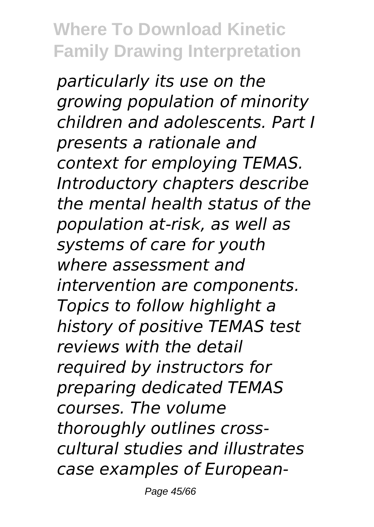*particularly its use on the growing population of minority children and adolescents. Part I presents a rationale and context for employing TEMAS. Introductory chapters describe the mental health status of the population at-risk, as well as systems of care for youth where assessment and intervention are components. Topics to follow highlight a history of positive TEMAS test reviews with the detail required by instructors for preparing dedicated TEMAS courses. The volume thoroughly outlines crosscultural studies and illustrates case examples of European-*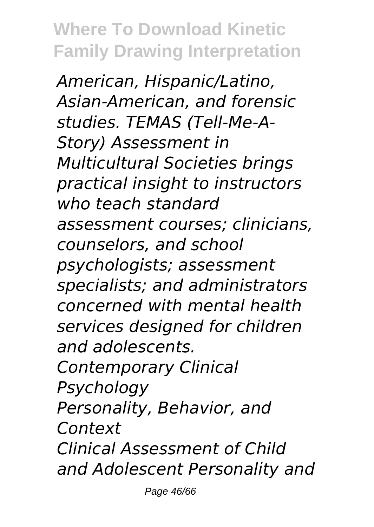*American, Hispanic/Latino, Asian-American, and forensic studies. TEMAS (Tell-Me-A-Story) Assessment in Multicultural Societies brings practical insight to instructors who teach standard assessment courses; clinicians, counselors, and school psychologists; assessment specialists; and administrators concerned with mental health services designed for children and adolescents. Contemporary Clinical Psychology Personality, Behavior, and Context Clinical Assessment of Child and Adolescent Personality and*

Page 46/66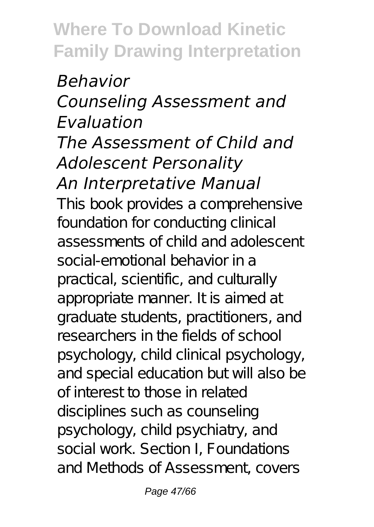#### *Behavior Counseling Assessment and Evaluation The Assessment of Child and Adolescent Personality An Interpretative Manual*

This book provides a comprehensive foundation for conducting clinical assessments of child and adolescent social-emotional behavior in a practical, scientific, and culturally appropriate manner. It is aimed at graduate students, practitioners, and researchers in the fields of school psychology, child clinical psychology, and special education but will also be of interest to those in related disciplines such as counseling psychology, child psychiatry, and social work. Section I, Foundations and Methods of Assessment, covers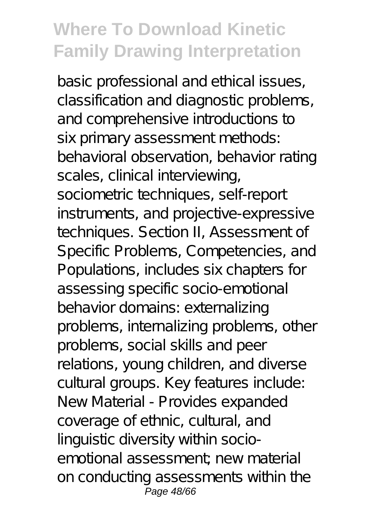basic professional and ethical issues, classification and diagnostic problems, and comprehensive introductions to six primary assessment methods: behavioral observation, behavior rating scales, clinical interviewing, sociometric techniques, self-report instruments, and projective-expressive techniques. Section II, Assessment of Specific Problems, Competencies, and Populations, includes six chapters for assessing specific socio-emotional behavior domains: externalizing problems, internalizing problems, other problems, social skills and peer relations, young children, and diverse cultural groups. Key features include: New Material - Provides expanded coverage of ethnic, cultural, and linguistic diversity within socioemotional assessment; new material on conducting assessments within the Page 48/66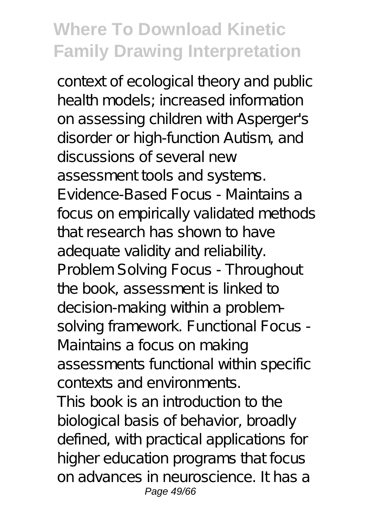context of ecological theory and public health models; increased information on assessing children with Asperger's disorder or high-function Autism, and discussions of several new assessment tools and systems. Evidence-Based Focus - Maintains a focus on empirically validated methods that research has shown to have adequate validity and reliability. Problem Solving Focus - Throughout the book, assessment is linked to decision-making within a problemsolving framework. Functional Focus -Maintains a focus on making assessments functional within specific contexts and environments. This book is an introduction to the biological basis of behavior, broadly defined, with practical applications for higher education programs that focus on advances in neuroscience. It has a Page 49/66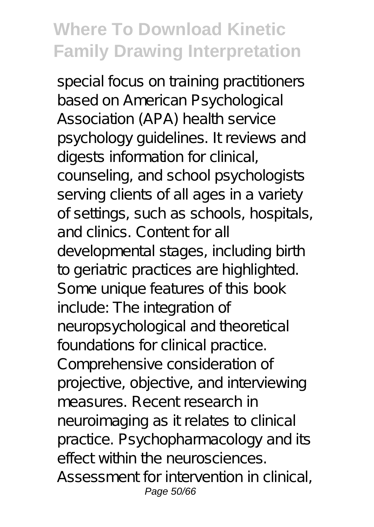special focus on training practitioners based on American Psychological Association (APA) health service psychology guidelines. It reviews and digests information for clinical, counseling, and school psychologists serving clients of all ages in a variety of settings, such as schools, hospitals, and clinics. Content for all developmental stages, including birth to geriatric practices are highlighted. Some unique features of this book include: The integration of neuropsychological and theoretical foundations for clinical practice. Comprehensive consideration of projective, objective, and interviewing measures. Recent research in neuroimaging as it relates to clinical practice. Psychopharmacology and its effect within the neurosciences. Assessment for intervention in clinical, Page 50/66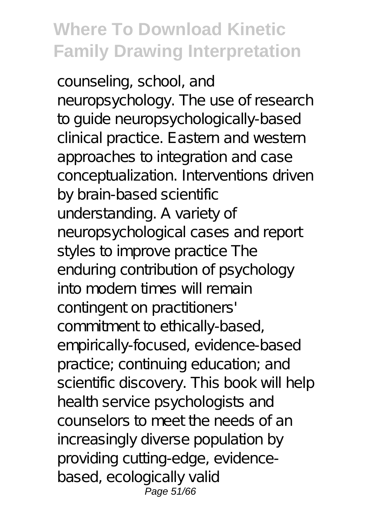counseling, school, and neuropsychology. The use of research to guide neuropsychologically-based clinical practice. Eastern and western approaches to integration and case conceptualization. Interventions driven by brain-based scientific understanding. A variety of neuropsychological cases and report styles to improve practice The enduring contribution of psychology into modern times will remain contingent on practitioners' commitment to ethically-based, empirically-focused, evidence-based practice; continuing education; and scientific discovery. This book will help health service psychologists and counselors to meet the needs of an increasingly diverse population by providing cutting-edge, evidencebased, ecologically valid Page 51/66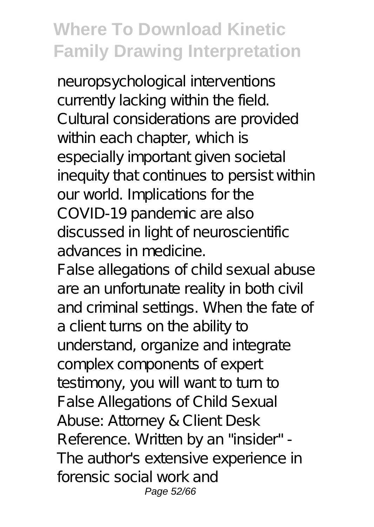neuropsychological interventions currently lacking within the field. Cultural considerations are provided within each chapter, which is especially important given societal inequity that continues to persist within our world. Implications for the COVID-19 pandemic are also discussed in light of neuroscientific advances in medicine.

False allegations of child sexual abuse are an unfortunate reality in both civil and criminal settings. When the fate of a client turns on the ability to understand, organize and integrate complex components of expert testimony, you will want to turn to False Allegations of Child Sexual Abuse: Attorney & Client Desk Reference. Written by an "insider" - The author's extensive experience in forensic social work and Page 52/66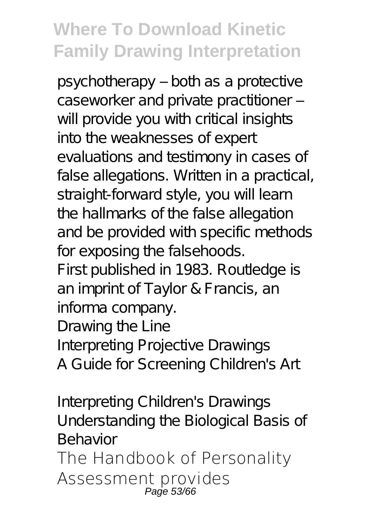psychotherapy – both as a protective caseworker and private practitioner will provide you with critical insights into the weaknesses of expert evaluations and testimony in cases of false allegations. Written in a practical, straight-forward style, you will learn the hallmarks of the false allegation and be provided with specific methods for exposing the falsehoods. First published in 1983. Routledge is an imprint of Taylor & Francis, an informa company. Drawing the Line Interpreting Projective Drawings

A Guide for Screening Children's Art

Interpreting Children's Drawings Understanding the Biological Basis of Behavior

The Handbook of Personality Assessment provides Page  $53/$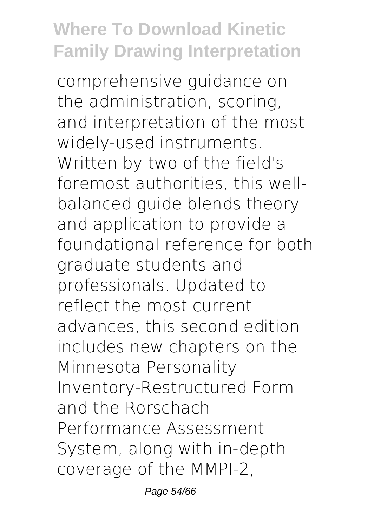comprehensive guidance on the administration, scoring, and interpretation of the most widely-used instruments. Written by two of the field's foremost authorities, this wellbalanced guide blends theory and application to provide a foundational reference for both graduate students and professionals. Updated to reflect the most current advances, this second edition includes new chapters on the Minnesota Personality Inventory-Restructured Form and the Rorschach Performance Assessment System, along with in-depth coverage of the MMPI-2,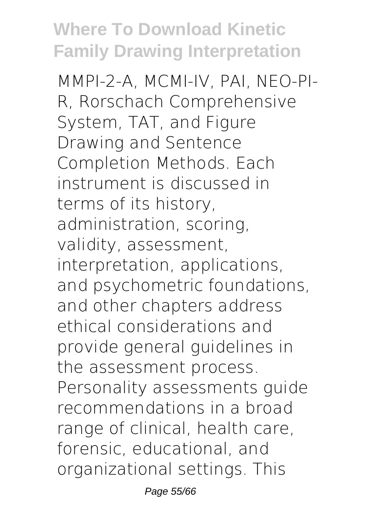MMPI-2-A, MCMI-IV, PAI, NEO-PI-R, Rorschach Comprehensive System, TAT, and Figure Drawing and Sentence Completion Methods. Each instrument is discussed in terms of its history, administration, scoring, validity, assessment, interpretation, applications, and psychometric foundations, and other chapters address ethical considerations and provide general guidelines in the assessment process. Personality assessments guide recommendations in a broad range of clinical, health care, forensic, educational, and organizational settings. This

Page 55/66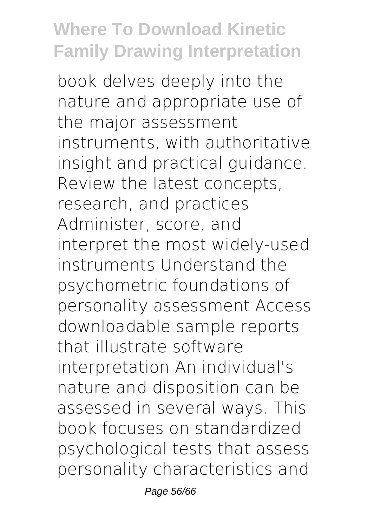book delves deeply into the nature and appropriate use of the major assessment instruments, with authoritative insight and practical guidance. Review the latest concepts, research, and practices Administer, score, and interpret the most widely-used instruments Understand the psychometric foundations of personality assessment Access downloadable sample reports that illustrate software interpretation An individual's nature and disposition can be assessed in several ways. This book focuses on standardized psychological tests that assess personality characteristics and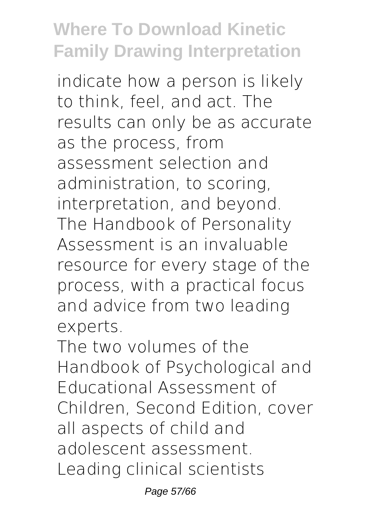indicate how a person is likely to think, feel, and act. The results can only be as accurate as the process, from assessment selection and administration, to scoring, interpretation, and beyond. The Handbook of Personality Assessment is an invaluable resource for every stage of the process, with a practical focus and advice from two leading experts.

The two volumes of the Handbook of Psychological and Educational Assessment of Children, Second Edition, cover all aspects of child and adolescent assessment. Leading clinical scientists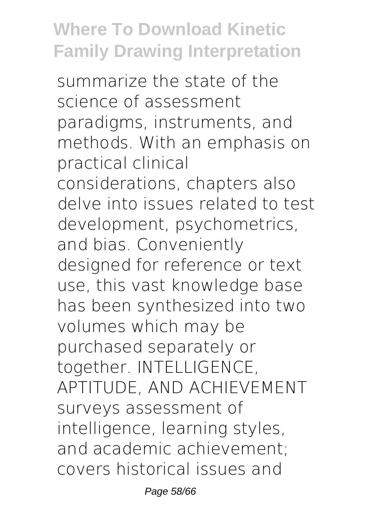summarize the state of the science of assessment paradigms, instruments, and methods. With an emphasis on practical clinical considerations, chapters also delve into issues related to test development, psychometrics, and bias. Conveniently designed for reference or text use, this vast knowledge base has been synthesized into two volumes which may be purchased separately or together. INTELLIGENCE, APTITUDE, AND ACHIEVEMENT surveys assessment of intelligence, learning styles, and academic achievement; covers historical issues and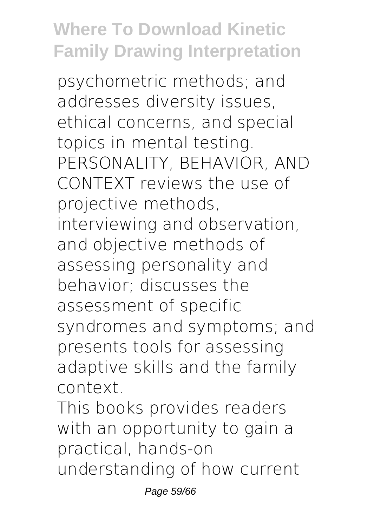psychometric methods; and addresses diversity issues, ethical concerns, and special topics in mental testing. PERSONALITY, BEHAVIOR, AND CONTEXT reviews the use of projective methods, interviewing and observation, and objective methods of assessing personality and behavior; discusses the assessment of specific syndromes and symptoms; and presents tools for assessing adaptive skills and the family context.

This books provides readers with an opportunity to gain a practical, hands-on understanding of how current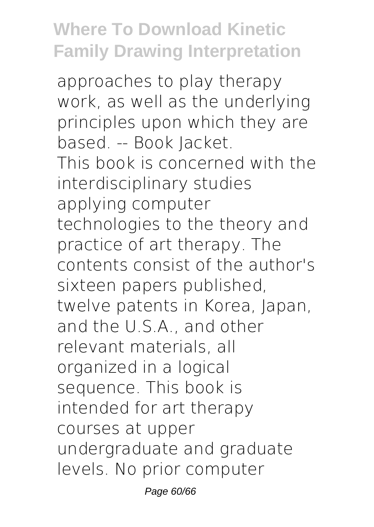approaches to play therapy work, as well as the underlying principles upon which they are based. -- Book Jacket. This book is concerned with the interdisciplinary studies applying computer technologies to the theory and practice of art therapy. The contents consist of the author's sixteen papers published, twelve patents in Korea, Japan, and the U.S.A., and other relevant materials, all organized in a logical sequence. This book is intended for art therapy courses at upper undergraduate and graduate levels. No prior computer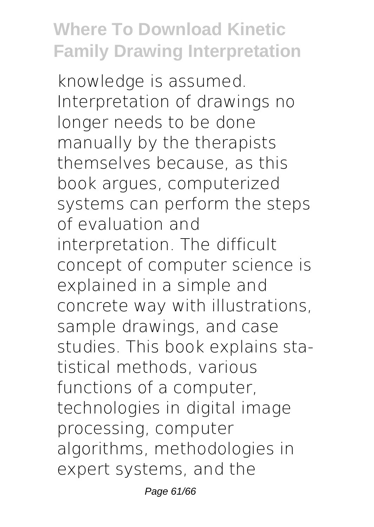knowledge is assumed. Interpretation of drawings no longer needs to be done manually by the therapists themselves because, as this book argues, computerized systems can perform the steps of evaluation and interpretation. The difficult concept of computer science is explained in a simple and concrete way with illustrations, sample drawings, and case studies. This book explains statistical methods, various functions of a computer, technologies in digital image processing, computer algorithms, methodologies in expert systems, and the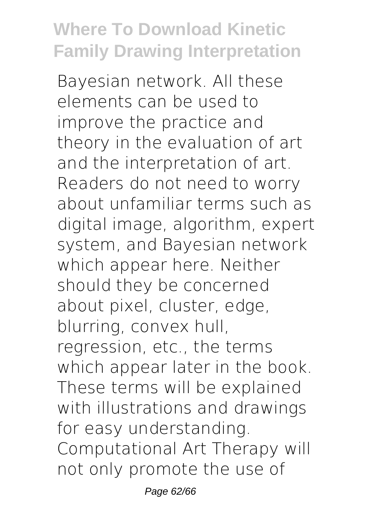Bayesian network. All these elements can be used to improve the practice and theory in the evaluation of art and the interpretation of art. Readers do not need to worry about unfamiliar terms such as digital image, algorithm, expert system, and Bayesian network which appear here. Neither should they be concerned about pixel, cluster, edge, blurring, convex hull, regression, etc., the terms which appear later in the book. These terms will be explained with illustrations and drawings for easy understanding. Computational Art Therapy will not only promote the use of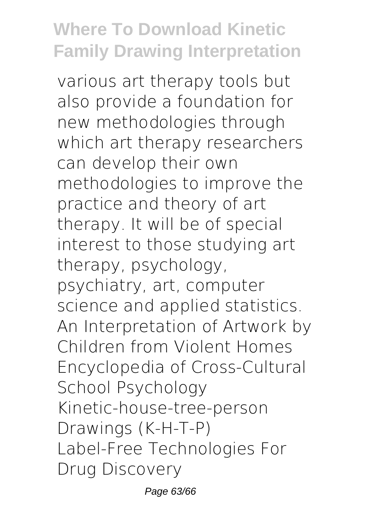various art therapy tools but also provide a foundation for new methodologies through which art therapy researchers can develop their own methodologies to improve the practice and theory of art therapy. It will be of special interest to those studying art therapy, psychology, psychiatry, art, computer science and applied statistics. An Interpretation of Artwork by Children from Violent Homes Encyclopedia of Cross-Cultural School Psychology Kinetic-house-tree-person Drawings (K-H-T-P) Label-Free Technologies For Drug Discovery

Page 63/66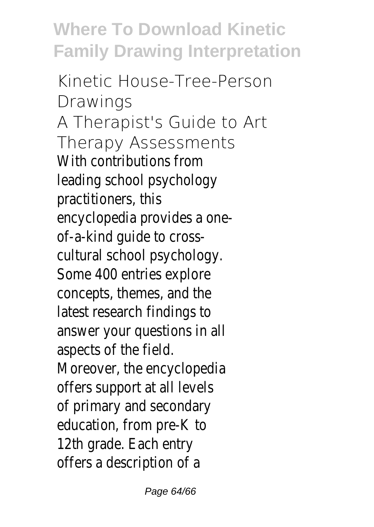Kinetic House-Tree-Person Drawings A Therapist's Guide to Art Therapy Assessments With contributions from leading school psychology practitioners, this encyclopedia provides a oneof-a-kind guide to crosscultural school psychology. Some 400 entries explore concepts, themes, and the latest research findings to answer your questions in all aspects of the field. Moreover, the encyclopedia offers support at all levels of primary and secondary education, from pre-K to 12th grade. Each entry offers a description of a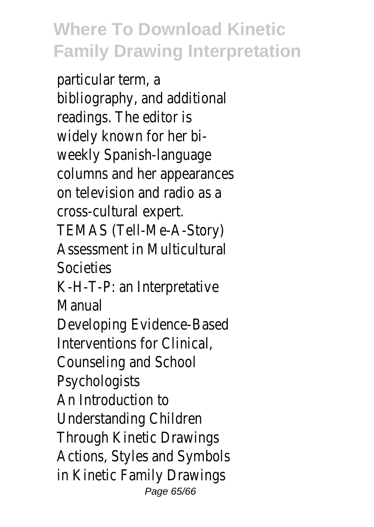particular term, a bibliography, and additional readings. The editor is widely known for her biweekly Spanish-language columns and her appearances on television and radio as a cross-cultural expert. TEMAS (Tell-Me-A-Story) Assessment in Multicultural Societies K-H-T-P: an Interpretative Manual Developing Evidence-Based Interventions for Clinical, Counseling and School Psychologists An Introduction to Understanding Children Through Kinetic Drawings Actions, Styles and Symbols in Kinetic Family Drawings Page 65/66